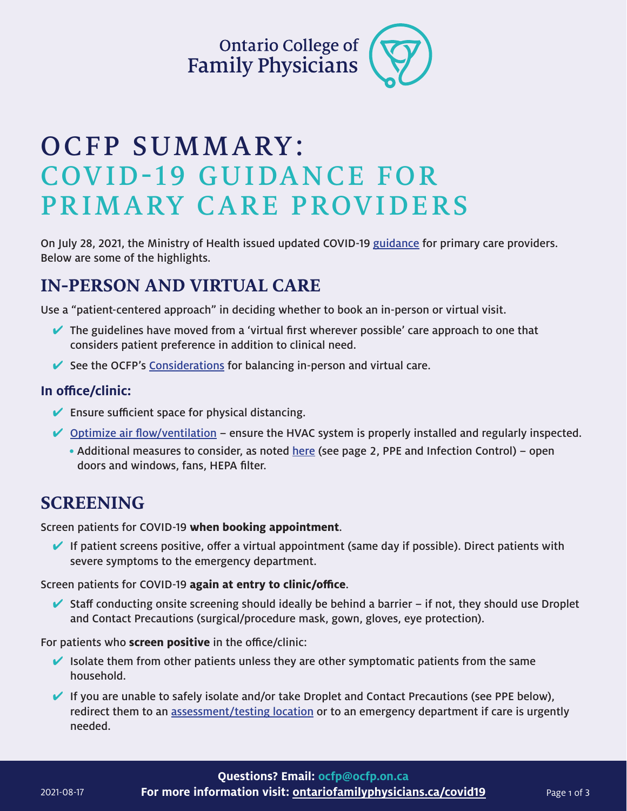Ontario College of<br>Family Physicians

# OCFP SUMMARY: COVID-19 GUIDANCE FOR PRIMARY CARE PROVIDERS

On July 28, 2021, the Ministry of Health issued updated COVID-19 [guidance](https://www.health.gov.on.ca/en/pro/programs/publichealth/coronavirus/docs/2019_primary_care_guidance.pdf) for primary care providers. Below are some of the highlights.

## **IN-PERSON AND VIRTUAL CARE**

Use a "patient-centered approach" in deciding whether to book an in-person or virtual visit.

- $\blacktriangleright$  The guidelines have moved from a 'virtual first wherever possible' care approach to one that considers patient preference in addition to clinical need.
- $\blacktriangleright$  See the OCFP's [Considerations](https://www.ontariofamilyphysicians.ca/tools-resources/timely-trending/novel-coronavirus-2019-ncov/considerations-for-in-person-visits.pdf) for balancing in-person and virtual care.

#### **In office/clinic:**

- $\blacktriangleright$  Ensure sufficient space for physical distancing.
- $\vee$  [Optimize air flow/ventilation](https://www.publichealthontario.ca/-/media/documents/ncov/ipac/2020/09/covid-19-hvac-systems-in-buildings.pdf?la=en)  ensure the HVAC system is properly installed and regularly inspected.
	- Additional measures to consider, as noted [here](https://www.ontariofamilyphysicians.ca/considerations-for-in-person-visits-aug2021.pdf) (see page 2, PPE and Infection Control) open doors and windows, fans, HEPA filter.

## **SCREENING**

Screen patients for COVID-19 **when booking appointment**.

 $\blacktriangleright$  If patient screens positive, offer a virtual appointment (same day if possible). Direct patients with severe symptoms to the emergency department.

Screen patients for COVID-19 **again at entry to clinic/office**.

 $\blacktriangleright$  Staff conducting onsite screening should ideally be behind a barrier – if not, they should use Droplet and Contact Precautions (surgical/procedure mask, gown, gloves, eye protection).

For patients who **screen positive** in the office/clinic:

 $\blacktriangleright$  Isolate them from other patients unless they are other symptomatic patients from the same household.

 $\blacktriangleright$  If you are unable to safely isolate and/or take Droplet and Contact Precautions (see PPE below), redirect them to an [assessment/testing location](https://covid-19.ontario.ca/assessment-centre-locations) or to an emergency department if care is urgently needed.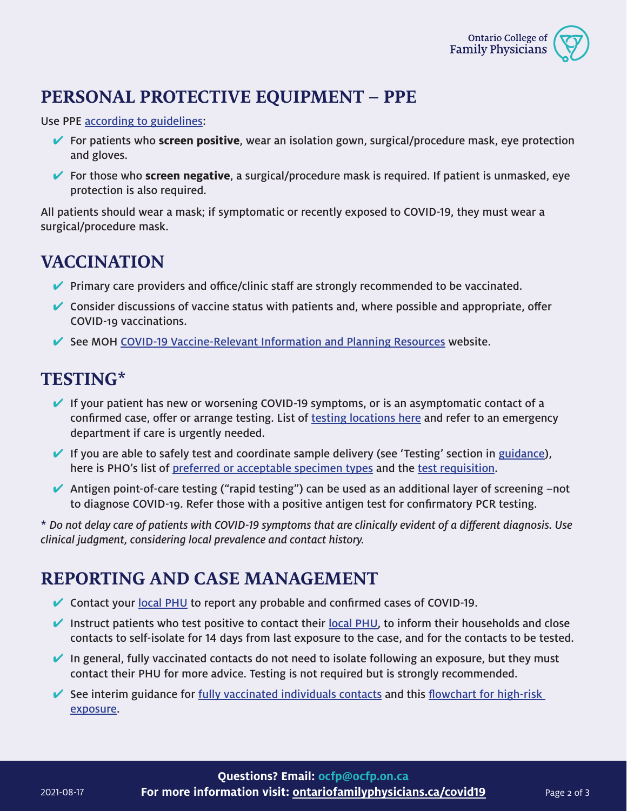

# **PERSONAL PROTECTIVE EQUIPMENT – PPE**

Use PPE [according to guidelines](https://www.ontariofamilyphysicians.ca/tools-resources/timely-trending/novel-coronavirus-2019-ncov/ocfp-ppe-for-hpc-visual-june-2020.pdf):

- **►** For patients who **screen positive**, wear an isolation gown, surgical/procedure mask, eye protection and gloves.
- 4 For those who **screen negative**, a surgical/procedure mask is required. If patient is unmasked, eye protection is also required.

All patients should wear a mask; if symptomatic or recently exposed to COVID-19, they must wear a surgical/procedure mask.

#### **VACCINATION**

- $\blacktriangledown$  Primary care providers and office/clinic staff are strongly recommended to be vaccinated.
- $\vee$  Consider discussions of vaccine status with patients and, where possible and appropriate, offer COVID-19 vaccinations.
- $\blacktriangleright$  See MOH [COVID-19 Vaccine-Relevant Information and Planning Resources](https://www.health.gov.on.ca/en/pro/programs/publichealth/coronavirus/covid19_vaccine.aspx) website.

#### **TESTING\***

- $\blacktriangleright$  If your patient has new or worsening COVID-19 symptoms, or is an asymptomatic contact of a confirmed case, offer or arrange testing. List of [testing locations here](https://covid-19.ontario.ca/assessment-centre-locations) and refer to an emergency department if care is urgently needed.
- $\blacktriangleright$  If you are able to safely test and coordinate sample delivery (see 'Testing' section in [guidance](https://www.health.gov.on.ca/en/pro/programs/publichealth/coronavirus/docs/2019_primary_care_guidance.pdf)), here is PHO's list of [preferred or acceptable specimen types](https://www.publichealthontario.ca/en/laboratory-services/test-information-index/covid-19) and the [test requisition](https://www.publichealthontario.ca/-/media/documents/lab/2019-ncov-test-requisition.pdf?la=en).
- Antigen point-of-care testing ("rapid testing") can be used as an additional layer of screening  $-$ not to diagnose COVID-19. Refer those with a positive antigen test for confirmatory PCR testing.

\* Do not delay care of patients with COVID-19 symptoms that are clinically evident of a different diagnosis. Use clinical judgment, considering local prevalence and contact history.

#### **REPORTING AND CASE MANAGEMENT**

- $\vee$  Contact your [local PHU](https://www.health.gov.on.ca/en/common/system/services/phu/locations.aspx) to report any probable and confirmed cases of COVID-19.
- Instruct patients who test positive to contact their [local PHU,](https://www.health.gov.on.ca/en/common/system/services/phu/locations.aspx) to inform their households and close contacts to self-isolate for 14 days from last exposure to the case, and for the contacts to be tested.
- $\blacktriangleright$  In general, fully vaccinated contacts do not need to isolate following an exposure, but they must contact their PHU for more advice. Testing is not required but is strongly recommended.
- See interim guidance for [fully vaccinated individuals contacts](https://www.health.gov.on.ca/en/pro/programs/publichealth/coronavirus/docs/contact_mngmt/COVID-19_fully_vaccinated_interim_guidance.pdf) and this flowchart for high-risk [exposure](https://www.health.gov.on.ca/en/pro/programs/publichealth/coronavirus/docs/contact_mngmt/app_11_high_risk_contact_FlowChart.pdf).